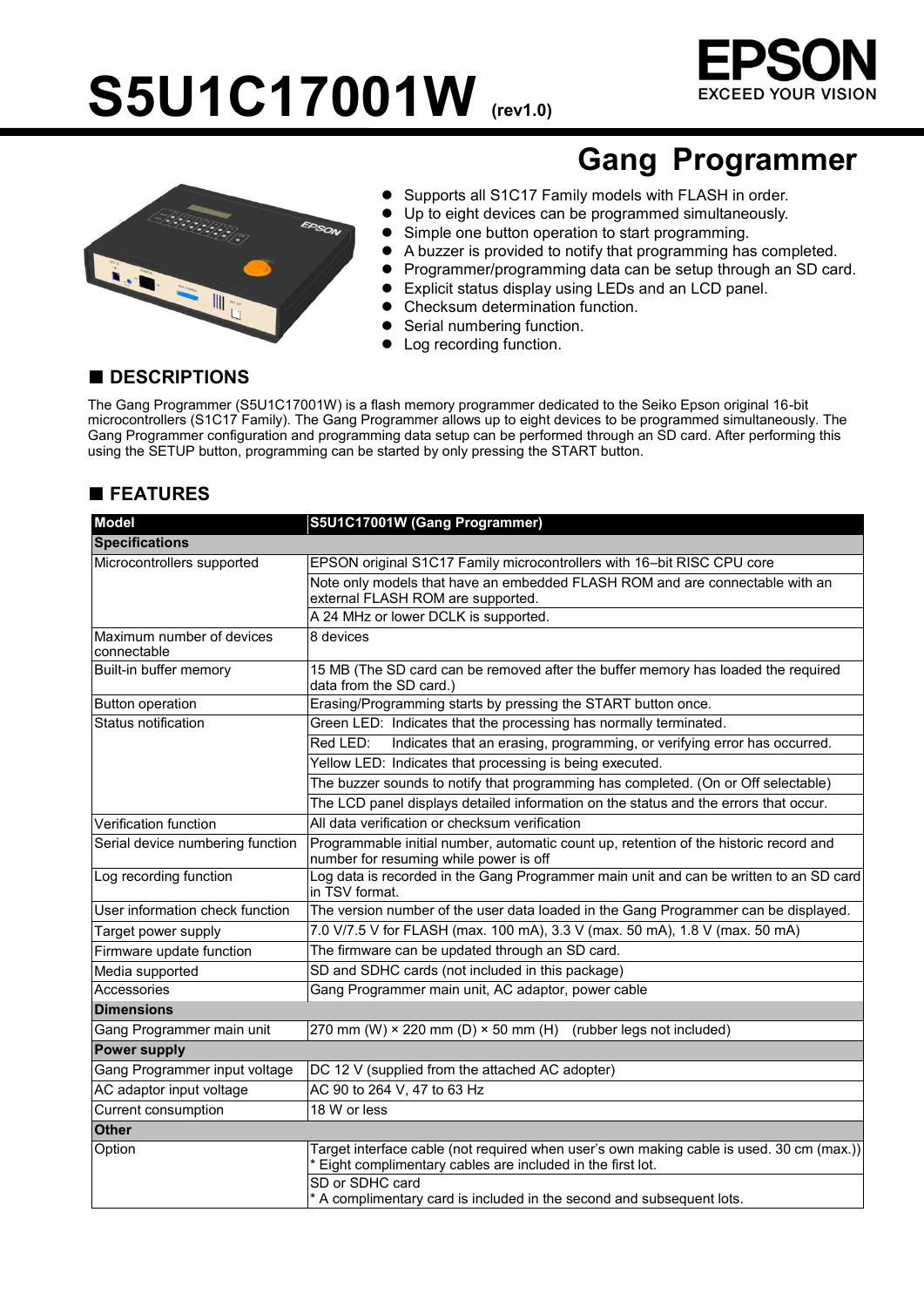# S5U1C17001W **(rev1.0)**





# **Gang Programmer**

- **•** Supports all S1C17 Family models with FLASH in order.
- Up to eight devices can be programmed simultaneously.
- Simple one button operation to start programming.
- A buzzer is provided to notify that programming has completed.
- Programmer/programming data can be setup through an SD card.
- Explicit status display using LEDs and an LCD panel.
- Checksum determination function.
- Serial numbering function.
- Log recording function.

#### **■ DESCRIPTIONS**

The Gang Programmer (S5U1C17001W) is a flash memory programmer dedicated to the Seiko Epson original 16-bit microcontrollers (S1C17 Family). The Gang Programmer allows up to eight devices to be programmed simultaneously. The Gang Programmer configuration and programming data setup can be performed through an SD card. After performing this using the SETUP button, programming can be started by only pressing the START button.

### **■ FEATURES**

| <b>Model</b>                             | S5U1C17001W (Gang Programmer)                                                                                                                                            |  |  |
|------------------------------------------|--------------------------------------------------------------------------------------------------------------------------------------------------------------------------|--|--|
| <b>Specifications</b>                    |                                                                                                                                                                          |  |  |
| Microcontrollers supported               | EPSON original S1C17 Family microcontrollers with 16-bit RISC CPU core                                                                                                   |  |  |
|                                          | Note only models that have an embedded FLASH ROM and are connectable with an<br>external FLASH ROM are supported.                                                        |  |  |
|                                          | A 24 MHz or lower DCLK is supported.                                                                                                                                     |  |  |
| Maximum number of devices<br>connectable | 8 devices                                                                                                                                                                |  |  |
| Built-in buffer memory                   | 15 MB (The SD card can be removed after the buffer memory has loaded the required<br>data from the SD card.)                                                             |  |  |
| <b>Button operation</b>                  | Erasing/Programming starts by pressing the START button once.                                                                                                            |  |  |
| Status notification                      | Green LED: Indicates that the processing has normally terminated.                                                                                                        |  |  |
|                                          | Indicates that an erasing, programming, or verifying error has occurred.<br>Red LED:                                                                                     |  |  |
|                                          | Yellow LED: Indicates that processing is being executed.                                                                                                                 |  |  |
|                                          | The buzzer sounds to notify that programming has completed. (On or Off selectable)                                                                                       |  |  |
|                                          | The LCD panel displays detailed information on the status and the errors that occur.                                                                                     |  |  |
| Verification function                    | All data verification or checksum verification                                                                                                                           |  |  |
| Serial device numbering function         | Programmable initial number, automatic count up, retention of the historic record and<br>number for resuming while power is off                                          |  |  |
| Log recording function                   | Log data is recorded in the Gang Programmer main unit and can be written to an SD card<br>in TSV format.                                                                 |  |  |
| User information check function          | The version number of the user data loaded in the Gang Programmer can be displayed.                                                                                      |  |  |
| Target power supply                      | 7.0 V/7.5 V for FLASH (max. 100 mA), 3.3 V (max. 50 mA), 1.8 V (max. 50 mA)                                                                                              |  |  |
| Firmware update function                 | The firmware can be updated through an SD card.                                                                                                                          |  |  |
| Media supported                          | SD and SDHC cards (not included in this package)                                                                                                                         |  |  |
| Accessories                              | Gang Programmer main unit, AC adaptor, power cable                                                                                                                       |  |  |
| <b>Dimensions</b>                        |                                                                                                                                                                          |  |  |
| Gang Programmer main unit                | 270 mm (W) $\times$ 220 mm (D) $\times$ 50 mm (H)<br>(rubber legs not included)                                                                                          |  |  |
| <b>Power supply</b>                      |                                                                                                                                                                          |  |  |
| Gang Programmer input voltage            | DC 12 V (supplied from the attached AC adopter)                                                                                                                          |  |  |
| AC adaptor input voltage                 | AC 90 to 264 V, 47 to 63 Hz                                                                                                                                              |  |  |
| Current consumption                      | 18 W or less                                                                                                                                                             |  |  |
| <b>Other</b>                             |                                                                                                                                                                          |  |  |
| Option                                   | Target interface cable (not required when user's own making cable is used. 30 cm (max.))<br>Eight complimentary cables are included in the first lot.<br>SD or SDHC card |  |  |
|                                          | * A complimentary card is included in the second and subsequent lots.                                                                                                    |  |  |